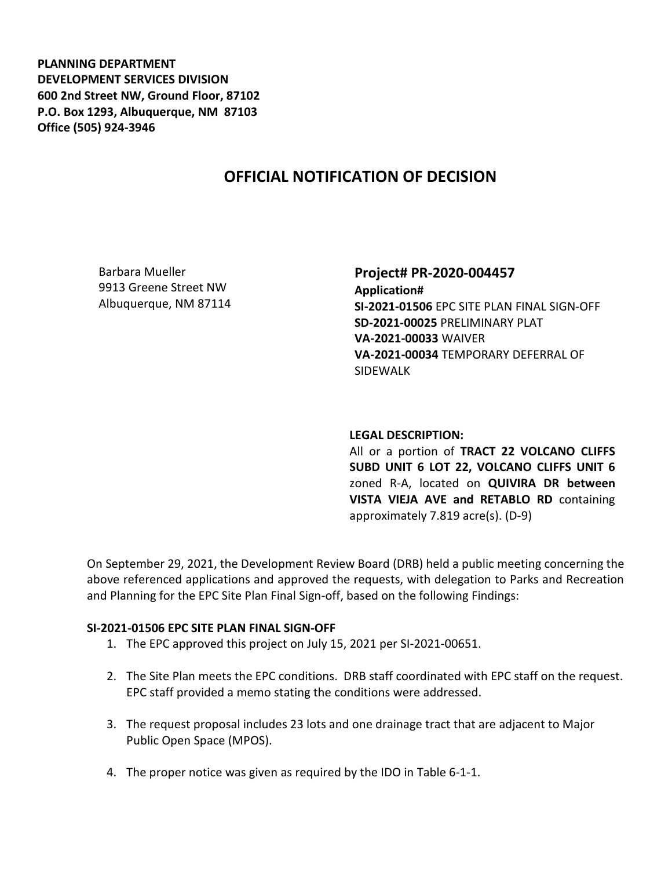**PLANNING DEPARTMENT DEVELOPMENT SERVICES DIVISION 600 2nd Street NW, Ground Floor, 87102 P.O. Box 1293, Albuquerque, NM 87103 Office (505) 924-3946** 

# **OFFICIAL NOTIFICATION OF DECISION**

Barbara Mueller 9913 Greene Street NW Albuquerque, NM 87114

**Project# PR-2020-004457 Application# SI-2021-01506** EPC SITE PLAN FINAL SIGN-OFF **SD-2021-00025** PRELIMINARY PLAT **VA-2021-00033** WAIVER **VA-2021-00034** TEMPORARY DEFERRAL OF

#### **LEGAL DESCRIPTION:**

SIDEWALK

All or a portion of **TRACT 22 VOLCANO CLIFFS SUBD UNIT 6 LOT 22, VOLCANO CLIFFS UNIT 6**  zoned R-A, located on **QUIVIRA DR between VISTA VIEJA AVE and RETABLO RD** containing approximately 7.819 acre(s). (D-9)

On September 29, 2021, the Development Review Board (DRB) held a public meeting concerning the above referenced applications and approved the requests, with delegation to Parks and Recreation and Planning for the EPC Site Plan Final Sign-off, based on the following Findings:

#### **SI-2021-01506 EPC SITE PLAN FINAL SIGN-OFF**

- 1. The EPC approved this project on July 15, 2021 per SI-2021-00651.
- 2. The Site Plan meets the EPC conditions. DRB staff coordinated with EPC staff on the request. EPC staff provided a memo stating the conditions were addressed.
- 3. The request proposal includes 23 lots and one drainage tract that are adjacent to Major Public Open Space (MPOS).
- 4. The proper notice was given as required by the IDO in Table 6-1-1.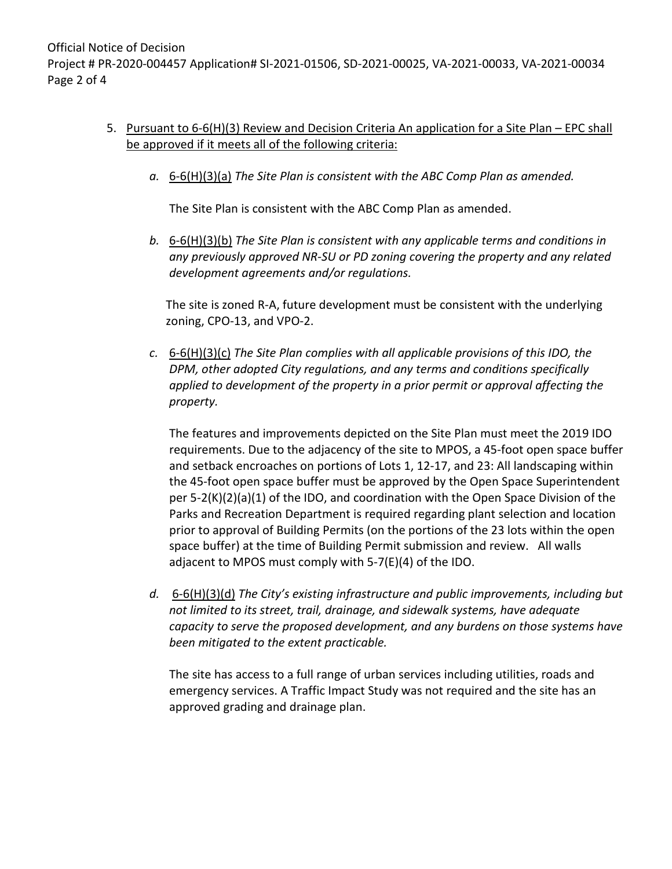Official Notice of Decision Project # PR-2020-004457 Application# SI-2021-01506, SD-2021-00025, VA-2021-00033, VA-2021-00034 Page 2 of 4

- 5. Pursuant to 6-6(H)(3) Review and Decision Criteria An application for a Site Plan EPC shall be approved if it meets all of the following criteria:
	- *a.* 6-6(H)(3)(a) *The Site Plan is consistent with the ABC Comp Plan as amended.*

The Site Plan is consistent with the ABC Comp Plan as amended.

*b.* 6-6(H)(3)(b) *The Site Plan is consistent with any applicable terms and conditions in any previously approved NR-SU or PD zoning covering the property and any related development agreements and/or regulations.* 

The site is zoned R-A, future development must be consistent with the underlying zoning, CPO-13, and VPO-2.

*c.* 6-6(H)(3)(c) *The Site Plan complies with all applicable provisions of this IDO, the DPM, other adopted City regulations, and any terms and conditions specifically applied to development of the property in a prior permit or approval affecting the property.* 

The features and improvements depicted on the Site Plan must meet the 2019 IDO requirements. Due to the adjacency of the site to MPOS, a 45-foot open space buffer and setback encroaches on portions of Lots 1, 12-17, and 23: All landscaping within the 45-foot open space buffer must be approved by the Open Space Superintendent per 5-2(K)(2)(a)(1) of the IDO, and coordination with the Open Space Division of the Parks and Recreation Department is required regarding plant selection and location prior to approval of Building Permits (on the portions of the 23 lots within the open space buffer) at the time of Building Permit submission and review. All walls adjacent to MPOS must comply with 5-7(E)(4) of the IDO.

*d.* 6-6(H)(3)(d) *The City's existing infrastructure and public improvements, including but not limited to its street, trail, drainage, and sidewalk systems, have adequate capacity to serve the proposed development, and any burdens on those systems have been mitigated to the extent practicable.* 

The site has access to a full range of urban services including utilities, roads and emergency services. A Traffic Impact Study was not required and the site has an approved grading and drainage plan.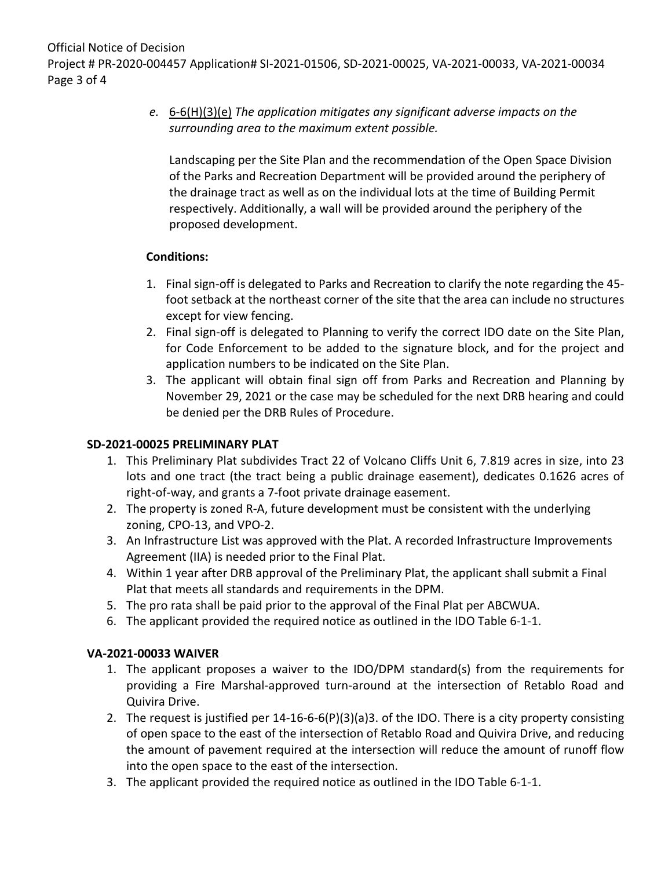Official Notice of Decision

Project # PR-2020-004457 Application# SI-2021-01506, SD-2021-00025, VA-2021-00033, VA-2021-00034 Page 3 of 4

# *e.* 6-6(H)(3)(e) *The application mitigates any significant adverse impacts on the surrounding area to the maximum extent possible.*

Landscaping per the Site Plan and the recommendation of the Open Space Division of the Parks and Recreation Department will be provided around the periphery of the drainage tract as well as on the individual lots at the time of Building Permit respectively. Additionally, a wall will be provided around the periphery of the proposed development.

### **Conditions:**

- 1. Final sign-off is delegated to Parks and Recreation to clarify the note regarding the 45 foot setback at the northeast corner of the site that the area can include no structures except for view fencing.
- 2. Final sign-off is delegated to Planning to verify the correct IDO date on the Site Plan, for Code Enforcement to be added to the signature block, and for the project and application numbers to be indicated on the Site Plan.
- 3. The applicant will obtain final sign off from Parks and Recreation and Planning by November 29, 2021 or the case may be scheduled for the next DRB hearing and could be denied per the DRB Rules of Procedure.

### **SD-2021-00025 PRELIMINARY PLAT**

- 1. This Preliminary Plat subdivides Tract 22 of Volcano Cliffs Unit 6, 7.819 acres in size, into 23 lots and one tract (the tract being a public drainage easement), dedicates 0.1626 acres of right-of-way, and grants a 7-foot private drainage easement.
- 2. The property is zoned R-A, future development must be consistent with the underlying zoning, CPO-13, and VPO-2.
- 3. An Infrastructure List was approved with the Plat. A recorded Infrastructure Improvements Agreement (IIA) is needed prior to the Final Plat.
- 4. Within 1 year after DRB approval of the Preliminary Plat, the applicant shall submit a Final Plat that meets all standards and requirements in the DPM.
- 5. The pro rata shall be paid prior to the approval of the Final Plat per ABCWUA.
- 6. The applicant provided the required notice as outlined in the IDO Table 6-1-1.

# **VA-2021-00033 WAIVER**

- 1. The applicant proposes a waiver to the IDO/DPM standard(s) from the requirements for providing a Fire Marshal-approved turn-around at the intersection of Retablo Road and Quivira Drive.
- 2. The request is justified per 14-16-6-6(P)(3)(a)3. of the IDO. There is a city property consisting of open space to the east of the intersection of Retablo Road and Quivira Drive, and reducing the amount of pavement required at the intersection will reduce the amount of runoff flow into the open space to the east of the intersection.
- 3. The applicant provided the required notice as outlined in the IDO Table 6-1-1.